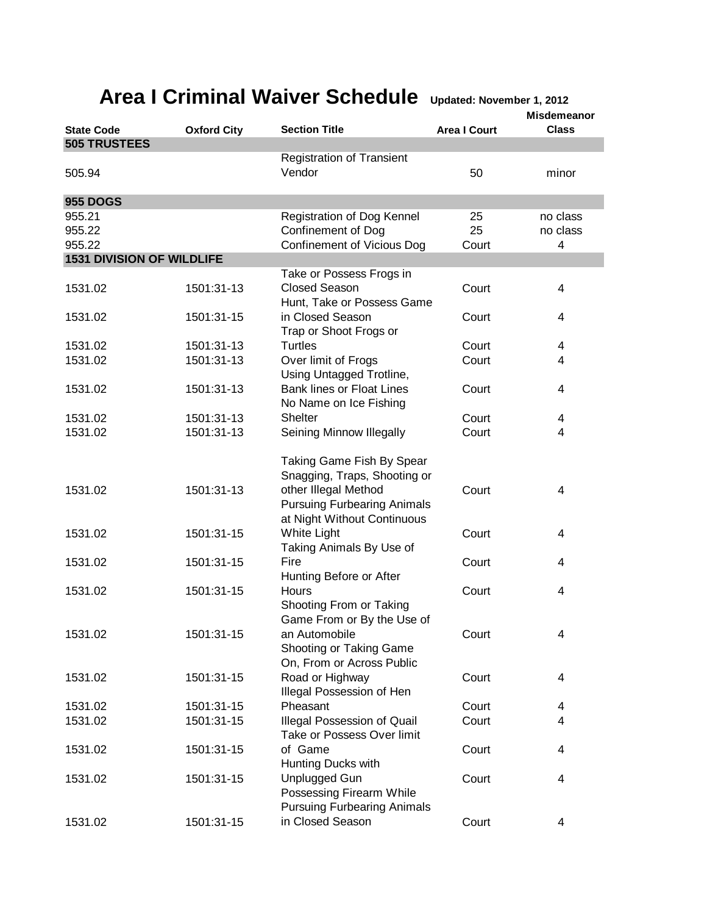## **Area I Criminal Waiver Schedule Updated: November 1, 2012**

|                                  |                          |                                                              |                     | <b>Misdemeanor</b> |
|----------------------------------|--------------------------|--------------------------------------------------------------|---------------------|--------------------|
| <b>State Code</b>                | <b>Oxford City</b>       | <b>Section Title</b>                                         | <b>Area I Court</b> | <b>Class</b>       |
| <b>505 TRUSTEES</b>              |                          |                                                              |                     |                    |
|                                  |                          | <b>Registration of Transient</b>                             |                     |                    |
| 505.94                           |                          | Vendor                                                       | 50                  | minor              |
|                                  |                          |                                                              |                     |                    |
| <b>955 DOGS</b>                  |                          |                                                              |                     |                    |
| 955.21                           |                          | Registration of Dog Kennel                                   | 25                  | no class           |
| 955.22                           |                          | Confinement of Dog                                           | 25                  | no class           |
| 955.22                           |                          | Confinement of Vicious Dog                                   | Court               | 4                  |
| <b>1531 DIVISION OF WILDLIFE</b> |                          |                                                              |                     |                    |
|                                  |                          | Take or Possess Frogs in                                     |                     |                    |
| 1531.02                          | 1501:31-13               | <b>Closed Season</b>                                         | Court               | $\overline{4}$     |
|                                  |                          | Hunt, Take or Possess Game                                   |                     |                    |
| 1531.02                          | 1501:31-15               | in Closed Season                                             | Court               | 4                  |
|                                  |                          | Trap or Shoot Frogs or                                       |                     |                    |
| 1531.02                          | 1501:31-13               | <b>Turtles</b>                                               | Court               | 4                  |
| 1531.02                          | 1501:31-13               | Over limit of Frogs                                          | Court               | 4                  |
|                                  |                          | Using Untagged Trotline,<br><b>Bank lines or Float Lines</b> |                     |                    |
| 1531.02                          | 1501:31-13               |                                                              | Court               | 4                  |
|                                  |                          | No Name on Ice Fishing                                       |                     |                    |
| 1531.02                          | 1501:31-13               | <b>Shelter</b>                                               | Court               | 4                  |
| 1531.02                          | 1501:31-13               | Seining Minnow Illegally                                     | Court               | 4                  |
|                                  |                          |                                                              |                     |                    |
|                                  |                          | Taking Game Fish By Spear                                    |                     |                    |
|                                  |                          | Snagging, Traps, Shooting or                                 |                     |                    |
| 1531.02                          | 1501:31-13               | other Illegal Method                                         | Court               | 4                  |
|                                  |                          | <b>Pursuing Furbearing Animals</b>                           |                     |                    |
|                                  |                          | at Night Without Continuous                                  |                     |                    |
| 1531.02                          | 1501:31-15               | White Light                                                  | Court               | 4                  |
|                                  |                          | Taking Animals By Use of                                     |                     |                    |
| 1531.02                          | 1501:31-15               | Fire                                                         | Court               | $\overline{4}$     |
|                                  |                          | Hunting Before or After                                      |                     |                    |
| 1531.02                          | 1501:31-15               | Hours                                                        | Court               | 4                  |
|                                  |                          | Shooting From or Taking                                      |                     |                    |
|                                  |                          | Game From or By the Use of<br>an Automobile                  |                     |                    |
| 1531.02                          | 1501:31-15               |                                                              | Court               | 4                  |
|                                  |                          | Shooting or Taking Game                                      |                     |                    |
|                                  | 1501:31-15               | On, From or Across Public                                    |                     |                    |
| 1531.02                          |                          | Road or Highway<br>Illegal Possession of Hen                 | Court               | 4                  |
| 1531.02                          |                          | Pheasant                                                     | Court               |                    |
| 1531.02                          | 1501:31-15<br>1501:31-15 | Illegal Possession of Quail                                  | Court               | 4<br>4             |
|                                  |                          | Take or Possess Over limit                                   |                     |                    |
| 1531.02                          | 1501:31-15               | of Game                                                      | Court               | 4                  |
|                                  |                          | Hunting Ducks with                                           |                     |                    |
| 1531.02                          | 1501:31-15               | Unplugged Gun                                                | Court               | 4                  |
|                                  |                          | Possessing Firearm While                                     |                     |                    |
|                                  |                          | <b>Pursuing Furbearing Animals</b>                           |                     |                    |
| 1531.02                          | 1501:31-15               | in Closed Season                                             | Court               | 4                  |
|                                  |                          |                                                              |                     |                    |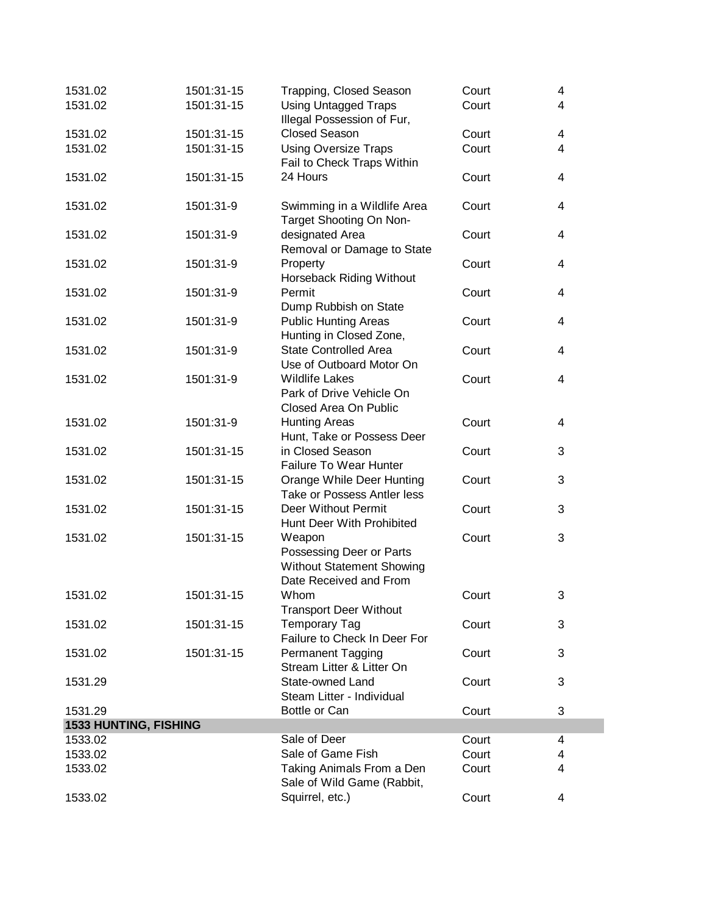| 1531.02               | 1501:31-15 | Trapping, Closed Season                           | Court | 4 |
|-----------------------|------------|---------------------------------------------------|-------|---|
| 1531.02               | 1501:31-15 | <b>Using Untagged Traps</b>                       | Court | 4 |
|                       |            | Illegal Possession of Fur,                        |       |   |
| 1531.02               | 1501:31-15 | <b>Closed Season</b>                              | Court | 4 |
| 1531.02               | 1501:31-15 | <b>Using Oversize Traps</b>                       | Court | 4 |
|                       |            | Fail to Check Traps Within                        |       |   |
| 1531.02               | 1501:31-15 | 24 Hours                                          | Court | 4 |
|                       |            |                                                   |       |   |
| 1531.02               | 1501:31-9  | Swimming in a Wildlife Area                       | Court | 4 |
|                       |            | Target Shooting On Non-                           |       |   |
| 1531.02               | 1501:31-9  | designated Area                                   | Court | 4 |
|                       |            | Removal or Damage to State                        |       |   |
| 1531.02               | 1501:31-9  | Property                                          | Court | 4 |
|                       |            | Horseback Riding Without                          |       |   |
| 1531.02               | 1501:31-9  | Permit                                            | Court | 4 |
|                       |            | Dump Rubbish on State                             |       |   |
| 1531.02               | 1501:31-9  | <b>Public Hunting Areas</b>                       | Court | 4 |
|                       |            | Hunting in Closed Zone,                           |       |   |
| 1531.02               | 1501:31-9  | <b>State Controlled Area</b>                      | Court | 4 |
|                       |            | Use of Outboard Motor On                          |       |   |
| 1531.02               | 1501:31-9  | <b>Wildlife Lakes</b>                             | Court | 4 |
|                       |            | Park of Drive Vehicle On                          |       |   |
|                       |            | Closed Area On Public                             |       |   |
| 1531.02               | 1501:31-9  | <b>Hunting Areas</b>                              | Court | 4 |
|                       |            | Hunt, Take or Possess Deer                        |       |   |
| 1531.02               | 1501:31-15 | in Closed Season<br><b>Failure To Wear Hunter</b> | Court | 3 |
| 1531.02               | 1501:31-15 | Orange While Deer Hunting                         | Court | 3 |
|                       |            | Take or Possess Antler less                       |       |   |
| 1531.02               | 1501:31-15 | Deer Without Permit                               | Court | 3 |
|                       |            | Hunt Deer With Prohibited                         |       |   |
| 1531.02               | 1501:31-15 | Weapon                                            | Court | 3 |
|                       |            | Possessing Deer or Parts                          |       |   |
|                       |            | <b>Without Statement Showing</b>                  |       |   |
|                       |            | Date Received and From                            |       |   |
| 1531.02               | 1501:31-15 | Whom                                              | Court | 3 |
|                       |            | <b>Transport Deer Without</b>                     |       |   |
| 1531.02               | 1501:31-15 | <b>Temporary Tag</b>                              | Court | 3 |
|                       |            | Failure to Check In Deer For                      |       |   |
| 1531.02               | 1501:31-15 | Permanent Tagging                                 | Court | 3 |
|                       |            | Stream Litter & Litter On                         |       |   |
| 1531.29               |            | State-owned Land                                  | Court | 3 |
|                       |            | Steam Litter - Individual                         |       |   |
| 1531.29               |            | Bottle or Can                                     | Court | 3 |
| 1533 HUNTING, FISHING |            |                                                   |       |   |
| 1533.02               |            | Sale of Deer                                      | Court | 4 |
| 1533.02               |            | Sale of Game Fish                                 | Court | 4 |
| 1533.02               |            | Taking Animals From a Den                         | Court | 4 |
|                       |            | Sale of Wild Game (Rabbit,                        |       |   |
| 1533.02               |            | Squirrel, etc.)                                   | Court | 4 |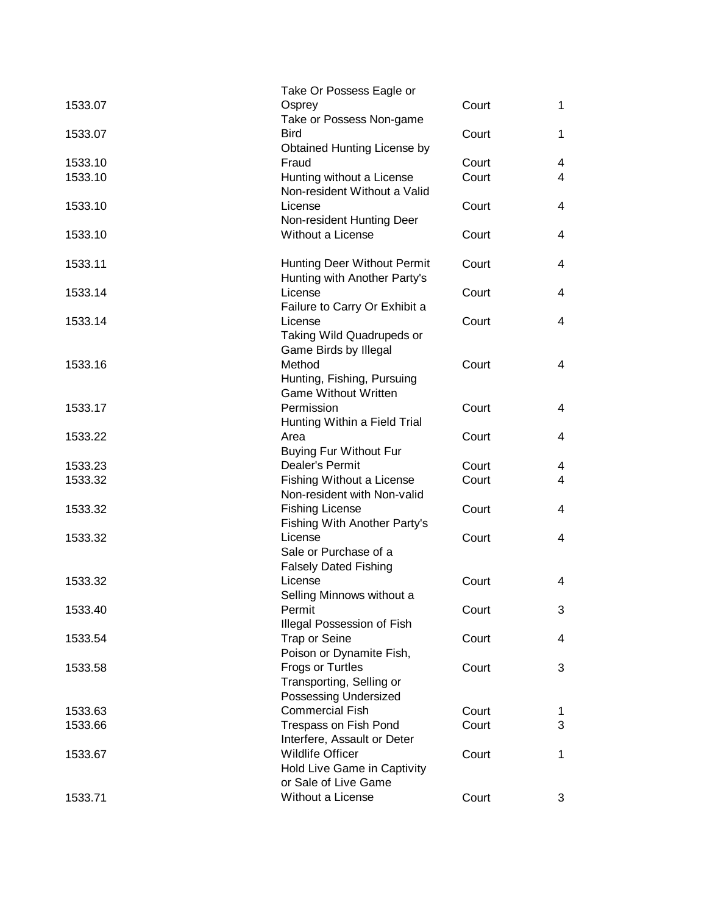|         | Take Or Possess Eagle or            |       |                |
|---------|-------------------------------------|-------|----------------|
| 1533.07 | Osprey                              | Court | $\mathbf{1}$   |
|         | Take or Possess Non-game            |       |                |
| 1533.07 | <b>Bird</b>                         | Court | 1.             |
|         | Obtained Hunting License by         |       |                |
| 1533.10 | Fraud                               | Court | 4              |
| 1533.10 | Hunting without a License           | Court | 4              |
|         | Non-resident Without a Valid        |       |                |
|         |                                     |       |                |
| 1533.10 | License                             | Court | 4              |
|         | Non-resident Hunting Deer           |       |                |
| 1533.10 | Without a License                   | Court | 4              |
|         |                                     |       |                |
| 1533.11 | Hunting Deer Without Permit         | Court | 4              |
|         | Hunting with Another Party's        |       |                |
| 1533.14 | License                             | Court | 4              |
|         | Failure to Carry Or Exhibit a       |       |                |
| 1533.14 | License                             | Court | 4              |
|         | Taking Wild Quadrupeds or           |       |                |
|         | Game Birds by Illegal               |       |                |
| 1533.16 | Method                              | Court | 4              |
|         | Hunting, Fishing, Pursuing          |       |                |
|         | <b>Game Without Written</b>         |       |                |
| 1533.17 | Permission                          | Court | 4              |
|         | Hunting Within a Field Trial        |       |                |
| 1533.22 | Area                                | Court | 4              |
|         | <b>Buying Fur Without Fur</b>       |       |                |
| 1533.23 | Dealer's Permit                     | Court | 4              |
| 1533.32 | Fishing Without a License           | Court | $\overline{4}$ |
|         | Non-resident with Non-valid         |       |                |
| 1533.32 | <b>Fishing License</b>              | Court | 4              |
|         | <b>Fishing With Another Party's</b> |       |                |
| 1533.32 | License                             | Court | 4              |
|         | Sale or Purchase of a               |       |                |
|         |                                     |       |                |
|         | <b>Falsely Dated Fishing</b>        |       |                |
| 1533.32 | License                             | Court | 4              |
|         | Selling Minnows without a           |       |                |
| 1533.40 | Permit                              | Court | 3              |
|         | Illegal Possession of Fish          |       |                |
| 1533.54 | <b>Trap or Seine</b>                | Court | 4              |
|         | Poison or Dynamite Fish,            |       |                |
| 1533.58 | <b>Frogs or Turtles</b>             | Court | 3              |
|         | Transporting, Selling or            |       |                |
|         | Possessing Undersized               |       |                |
| 1533.63 | <b>Commercial Fish</b>              | Court | 1.             |
| 1533.66 | Trespass on Fish Pond               | Court | 3              |
|         | Interfere, Assault or Deter         |       |                |
| 1533.67 | <b>Wildlife Officer</b>             | Court | 1.             |
|         | Hold Live Game in Captivity         |       |                |
|         | or Sale of Live Game                |       |                |
| 1533.71 | Without a License                   | Court | 3              |
|         |                                     |       |                |